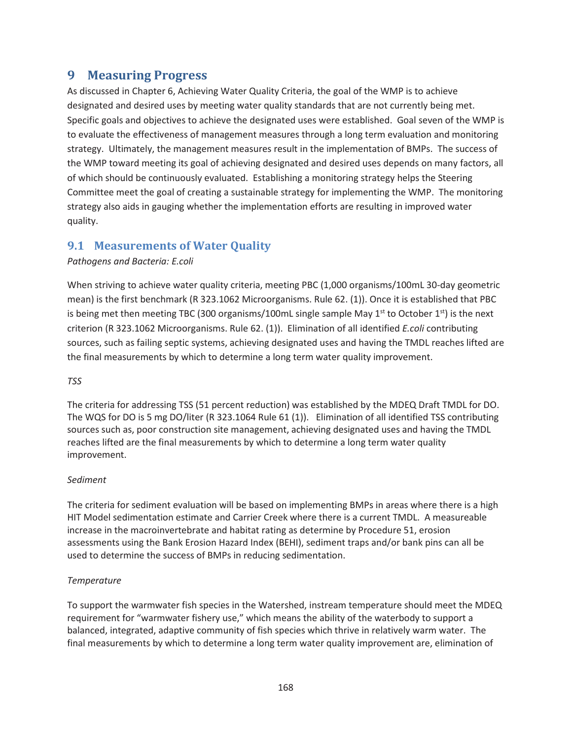# **9 Measuring Progress**

As discussed in Chapter 6, Achieving Water Quality Criteria, the goal of the WMP is to achieve designated and desired uses by meeting water quality standards that are not currently being met. Specific goals and objectives to achieve the designated uses were established. Goal seven of the WMP is to evaluate the effectiveness of management measures through a long term evaluation and monitoring strategy. Ultimately, the management measures result in the implementation of BMPs. The success of the WMP toward meeting its goal of achieving designated and desired uses depends on many factors, all of which should be continuously evaluated. Establishing a monitoring strategy helps the Steering Committee meet the goal of creating a sustainable strategy for implementing the WMP. The monitoring strategy also aids in gauging whether the implementation efforts are resulting in improved water quality.

## **9.1 Measurements of Water Quality**

### *Pathogens and Bacteria: E.coli*

When striving to achieve water quality criteria, meeting PBC (1,000 organisms/100mL 30-day geometric mean) is the first benchmark (R 323.1062 Microorganisms. Rule 62. (1)). Once it is established that PBC is being met then meeting TBC (300 organisms/100mL single sample May  $1<sup>st</sup>$  to October  $1<sup>st</sup>$ ) is the next criterion (R 323.1062 Microorganisms. Rule 62. (1)). Elimination of all identified *E.coli* contributing sources, such as failing septic systems, achieving designated uses and having the TMDL reaches lifted are the final measurements by which to determine a long term water quality improvement.

### *TSS*

The criteria for addressing TSS (51 percent reduction) was established by the MDEQ Draft TMDL for DO. The WQS for DO is 5 mg DO/liter (R 323.1064 Rule 61 (1)). Elimination of all identified TSS contributing sources such as, poor construction site management, achieving designated uses and having the TMDL reaches lifted are the final measurements by which to determine a long term water quality improvement.

### *Sediment*

The criteria for sediment evaluation will be based on implementing BMPs in areas where there is a high HIT Model sedimentation estimate and Carrier Creek where there is a current TMDL. A measureable increase in the macroinvertebrate and habitat rating as determine by Procedure 51, erosion assessments using the Bank Erosion Hazard Index (BEHI), sediment traps and/or bank pins can all be used to determine the success of BMPs in reducing sedimentation.

### *Temperature*

To support the warmwater fish species in the Watershed, instream temperature should meet the MDEQ requirement for "warmwater fishery use," which means the ability of the waterbody to support a balanced, integrated, adaptive community of fish species which thrive in relatively warm water. The final measurements by which to determine a long term water quality improvement are, elimination of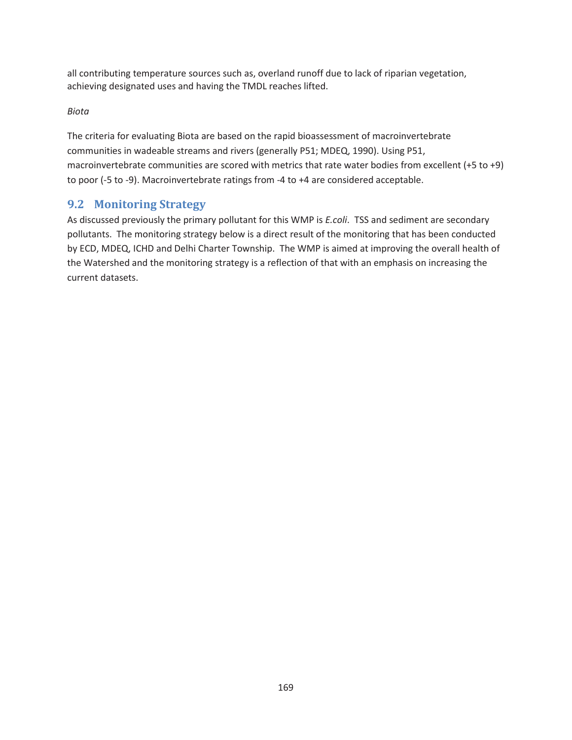all contributing temperature sources such as, overland runoff due to lack of riparian vegetation, achieving designated uses and having the TMDL reaches lifted.

### *Biota*

The criteria for evaluating Biota are based on the rapid bioassessment of macroinvertebrate communities in wadeable streams and rivers (generally P51; MDEQ, 1990). Using P51, macroinvertebrate communities are scored with metrics that rate water bodies from excellent (+5 to +9) to poor (-5 to -9). Macroinvertebrate ratings from -4 to +4 are considered acceptable.

## **9.2 Monitoring Strategy**

As discussed previously the primary pollutant for this WMP is *E.coli*. TSS and sediment are secondary pollutants. The monitoring strategy below is a direct result of the monitoring that has been conducted by ECD, MDEQ, ICHD and Delhi Charter Township. The WMP is aimed at improving the overall health of the Watershed and the monitoring strategy is a reflection of that with an emphasis on increasing the current datasets.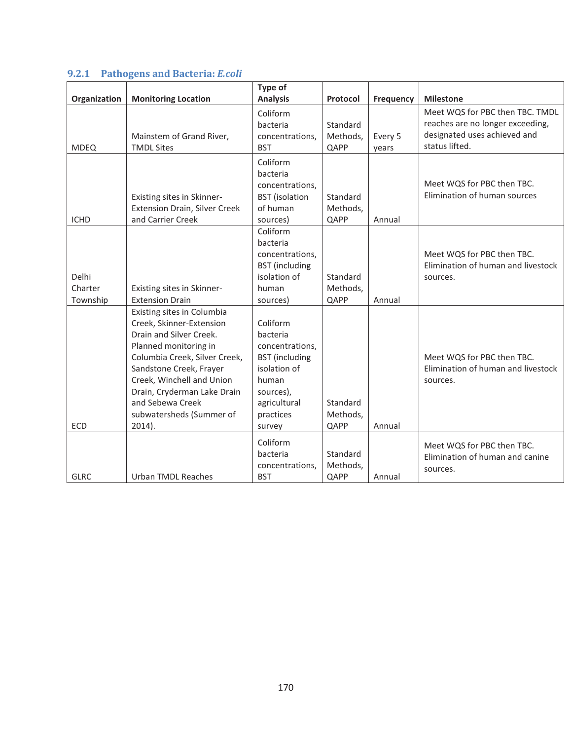|              |                                      | Type of               |          |                  |                                    |
|--------------|--------------------------------------|-----------------------|----------|------------------|------------------------------------|
| Organization | <b>Monitoring Location</b>           | <b>Analysis</b>       | Protocol | <b>Frequency</b> | <b>Milestone</b>                   |
|              |                                      | Coliform              |          |                  | Meet WQS for PBC then TBC. TMDL    |
|              |                                      | bacteria              | Standard |                  | reaches are no longer exceeding,   |
|              | Mainstem of Grand River,             | concentrations,       | Methods, | Every 5          | designated uses achieved and       |
| <b>MDEQ</b>  | <b>TMDL Sites</b>                    | <b>BST</b>            | QAPP     | years            | status lifted.                     |
|              |                                      | Coliform              |          |                  |                                    |
|              |                                      | bacteria              |          |                  |                                    |
|              |                                      | concentrations,       |          |                  | Meet WQS for PBC then TBC.         |
|              | Existing sites in Skinner-           | <b>BST</b> (isolation | Standard |                  | Elimination of human sources       |
|              | <b>Extension Drain, Silver Creek</b> | of human              | Methods, |                  |                                    |
| <b>ICHD</b>  | and Carrier Creek                    | sources)              | QAPP     | Annual           |                                    |
|              |                                      | Coliform              |          |                  |                                    |
|              |                                      | bacteria              |          |                  |                                    |
|              |                                      | concentrations,       |          |                  | Meet WQS for PBC then TBC.         |
|              |                                      | <b>BST</b> (including |          |                  | Elimination of human and livestock |
| Delhi        |                                      | isolation of          | Standard |                  | sources.                           |
| Charter      | Existing sites in Skinner-           | human                 | Methods, |                  |                                    |
| Township     | <b>Extension Drain</b>               | sources)              | QAPP     | Annual           |                                    |
|              | Existing sites in Columbia           |                       |          |                  |                                    |
|              | Creek, Skinner-Extension             | Coliform              |          |                  |                                    |
|              | Drain and Silver Creek.              | bacteria              |          |                  |                                    |
|              | Planned monitoring in                | concentrations,       |          |                  |                                    |
|              | Columbia Creek, Silver Creek,        | <b>BST</b> (including |          |                  | Meet WQS for PBC then TBC.         |
|              | Sandstone Creek, Frayer              | isolation of          |          |                  | Elimination of human and livestock |
|              | Creek, Winchell and Union            | human                 |          |                  | sources.                           |
|              | Drain, Cryderman Lake Drain          | sources),             |          |                  |                                    |
|              | and Sebewa Creek                     | agricultural          | Standard |                  |                                    |
|              | subwatersheds (Summer of             | practices             | Methods, |                  |                                    |
| <b>ECD</b>   | $2014$ ).                            | survey                | QAPP     | Annual           |                                    |
|              |                                      | Coliform              |          |                  | Meet WQS for PBC then TBC.         |
|              |                                      | bacteria              | Standard |                  | Elimination of human and canine    |
|              |                                      | concentrations,       | Methods, |                  | sources.                           |
| <b>GLRC</b>  | <b>Urban TMDL Reaches</b>            | <b>BST</b>            | QAPP     | Annual           |                                    |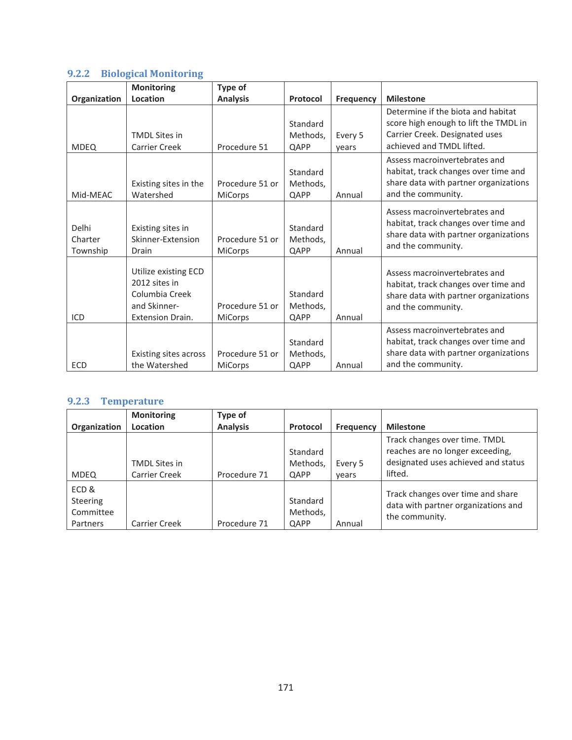# **9.2.2 Biological Monitoring**

|                              | <b>Monitoring</b>                                                                                  | Type of                           |                              |                  |                                                                                                                                            |
|------------------------------|----------------------------------------------------------------------------------------------------|-----------------------------------|------------------------------|------------------|--------------------------------------------------------------------------------------------------------------------------------------------|
| Organization                 | Location                                                                                           | <b>Analysis</b>                   | Protocol                     | <b>Frequency</b> | <b>Milestone</b>                                                                                                                           |
| <b>MDEQ</b>                  | <b>TMDL Sites in</b><br><b>Carrier Creek</b>                                                       | Procedure 51                      | Standard<br>Methods,<br>QAPP | Every 5<br>years | Determine if the biota and habitat<br>score high enough to lift the TMDL in<br>Carrier Creek. Designated uses<br>achieved and TMDL lifted. |
| Mid-MEAC                     | Existing sites in the<br>Watershed                                                                 | Procedure 51 or<br>MiCorps        | Standard<br>Methods,<br>QAPP | Annual           | Assess macroinvertebrates and<br>habitat, track changes over time and<br>share data with partner organizations<br>and the community.       |
| Delhi<br>Charter<br>Township | Existing sites in<br>Skinner-Extension<br>Drain                                                    | Procedure 51 or<br><b>MiCorps</b> | Standard<br>Methods,<br>QAPP | Annual           | Assess macroinvertebrates and<br>habitat, track changes over time and<br>share data with partner organizations<br>and the community.       |
| ICD                          | Utilize existing ECD<br>2012 sites in<br>Columbia Creek<br>and Skinner-<br><b>Extension Drain.</b> | Procedure 51 or<br><b>MiCorps</b> | Standard<br>Methods,<br>QAPP | Annual           | Assess macroinvertebrates and<br>habitat, track changes over time and<br>share data with partner organizations<br>and the community.       |
| <b>ECD</b>                   | Existing sites across<br>the Watershed                                                             | Procedure 51 or<br><b>MiCorps</b> | Standard<br>Methods,<br>QAPP | Annual           | Assess macroinvertebrates and<br>habitat, track changes over time and<br>share data with partner organizations<br>and the community.       |

### **9.2.3 Temperature**

|                                      | <b>Monitoring</b>    | Type of         |                      |           |                                                                                            |
|--------------------------------------|----------------------|-----------------|----------------------|-----------|--------------------------------------------------------------------------------------------|
| Organization                         | Location             | <b>Analysis</b> | Protocol             | Frequency | <b>Milestone</b>                                                                           |
|                                      |                      |                 | Standard             |           | Track changes over time. TMDL<br>reaches are no longer exceeding,                          |
|                                      | <b>TMDL Sites in</b> |                 | Methods,             | Every 5   | designated uses achieved and status                                                        |
| <b>MDEQ</b>                          | <b>Carrier Creek</b> | Procedure 71    | QAPP                 | vears     | lifted.                                                                                    |
| ECD&<br><b>Steering</b><br>Committee |                      |                 | Standard<br>Methods, |           | Track changes over time and share<br>data with partner organizations and<br>the community. |
| Partners                             | <b>Carrier Creek</b> | Procedure 71    | QAPP                 | Annual    |                                                                                            |